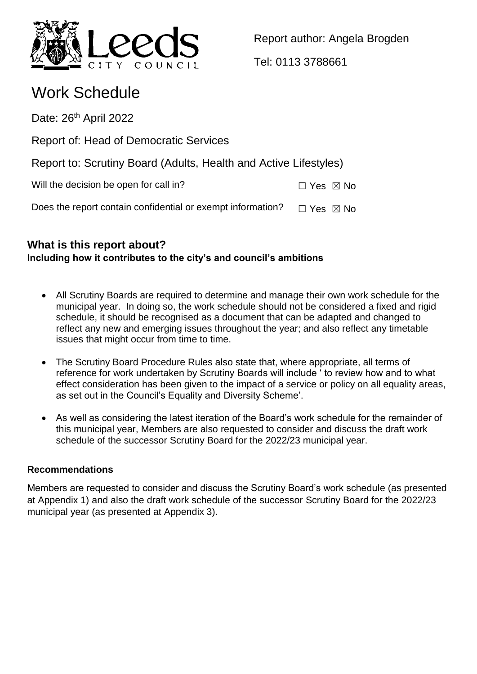

Report author: Angela Brogden

Tel: 0113 3788661

# Work Schedule

Date: 26<sup>th</sup> April 2022

Report of: Head of Democratic Services

Report to: Scrutiny Board (Adults, Health and Active Lifestyles)

Will the decision be open for call in?  $□$  Yes  $□$  No

Does the report contain confidential or exempt information?  $\Box$  Yes  $\boxtimes$  No

# **What is this report about? Including how it contributes to the city's and council's ambitions**

- All Scrutiny Boards are required to determine and manage their own work schedule for the municipal year. In doing so, the work schedule should not be considered a fixed and rigid schedule, it should be recognised as a document that can be adapted and changed to reflect any new and emerging issues throughout the year; and also reflect any timetable issues that might occur from time to time.
- The Scrutiny Board Procedure Rules also state that, where appropriate, all terms of reference for work undertaken by Scrutiny Boards will include ' to review how and to what effect consideration has been given to the impact of a service or policy on all equality areas, as set out in the Council's Equality and Diversity Scheme'.
- As well as considering the latest iteration of the Board's work schedule for the remainder of this municipal year, Members are also requested to consider and discuss the draft work schedule of the successor Scrutiny Board for the 2022/23 municipal year.

# **Recommendations**

Members are requested to consider and discuss the Scrutiny Board's work schedule (as presented at Appendix 1) and also the draft work schedule of the successor Scrutiny Board for the 2022/23 municipal year (as presented at Appendix 3).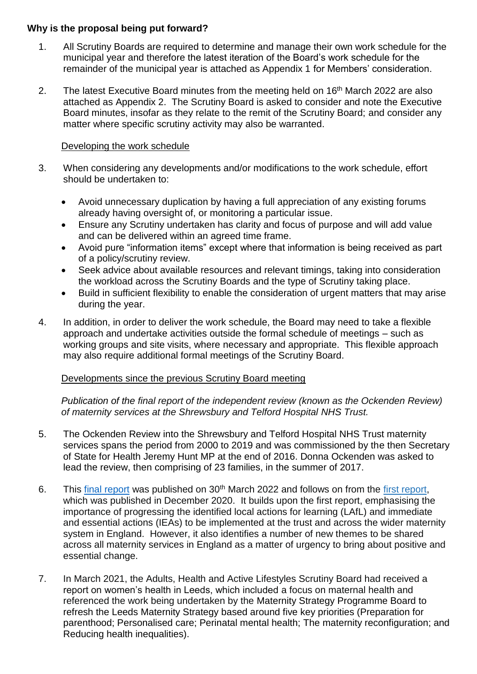### **Why is the proposal being put forward?**

- 1. All Scrutiny Boards are required to determine and manage their own work schedule for the municipal year and therefore the latest iteration of the Board's work schedule for the remainder of the municipal year is attached as Appendix 1 for Members' consideration.
- 2. The latest Executive Board minutes from the meeting held on 16<sup>th</sup> March 2022 are also attached as Appendix 2. The Scrutiny Board is asked to consider and note the Executive Board minutes, insofar as they relate to the remit of the Scrutiny Board; and consider any matter where specific scrutiny activity may also be warranted.

### Developing the work schedule

- 3. When considering any developments and/or modifications to the work schedule, effort should be undertaken to:
	- Avoid unnecessary duplication by having a full appreciation of any existing forums already having oversight of, or monitoring a particular issue.
	- Ensure any Scrutiny undertaken has clarity and focus of purpose and will add value and can be delivered within an agreed time frame.
	- Avoid pure "information items" except where that information is being received as part of a policy/scrutiny review.
	- Seek advice about available resources and relevant timings, taking into consideration the workload across the Scrutiny Boards and the type of Scrutiny taking place.
	- Build in sufficient flexibility to enable the consideration of urgent matters that may arise during the year.
- 4. In addition, in order to deliver the work schedule, the Board may need to take a flexible approach and undertake activities outside the formal schedule of meetings – such as working groups and site visits, where necessary and appropriate. This flexible approach may also require additional formal meetings of the Scrutiny Board.

# Developments since the previous Scrutiny Board meeting

*Publication of the final report of the independent review (known as the Ockenden Review) of maternity services at the Shrewsbury and Telford Hospital NHS Trust.*

- 5. The Ockenden Review into the Shrewsbury and Telford Hospital NHS Trust maternity services spans the period from 2000 to 2019 and was commissioned by the then Secretary of State for Health Jeremy Hunt MP at the end of 2016. Donna Ockenden was asked to lead the review, then comprising of 23 families, in the summer of 2017.
- 6. This [final report](https://www.gov.uk/government/publications/final-report-of-the-ockenden-review/ockenden-review-summary-of-findings-conclusions-and-essential-actions#executive-summary) was published on 30<sup>th</sup> March 2022 and follows on from the [first report,](https://www.gov.uk/government/publications/ockenden-review-of-maternity-services-at-shrewsbury-and-telford-hospital-nhs-trust) which was published in December 2020. It builds upon the first report, emphasising the importance of progressing the identified local actions for learning (LAfL) and immediate and essential actions (IEAs) to be implemented at the trust and across the wider maternity system in England. However, it also identifies a number of new themes to be shared across all maternity services in England as a matter of urgency to bring about positive and essential change.
- 7. In March 2021, the Adults, Health and Active Lifestyles Scrutiny Board had received a report on women's health in Leeds, which included a focus on maternal health and referenced the work being undertaken by the Maternity Strategy Programme Board to refresh the Leeds Maternity Strategy based around five key priorities (Preparation for parenthood; Personalised care; Perinatal mental health; The maternity reconfiguration; and Reducing health inequalities).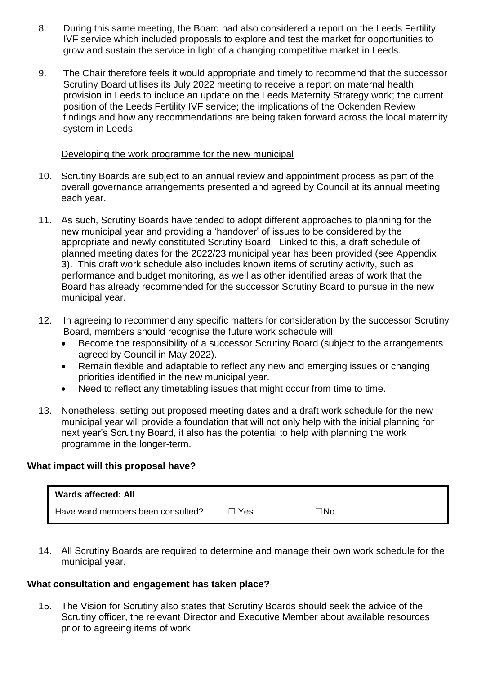- 8. During this same meeting, the Board had also considered a report on the Leeds Fertility IVF service which included proposals to explore and test the market for opportunities to grow and sustain the service in light of a changing competitive market in Leeds.
- 9. The Chair therefore feels it would appropriate and timely to recommend that the successor Scrutiny Board utilises its July 2022 meeting to receive a report on maternal health provision in Leeds to include an update on the Leeds Maternity Strategy work; the current position of the Leeds Fertility IVF service; the implications of the Ockenden Review findings and how any recommendations are being taken forward across the local maternity system in Leeds.

#### Developing the work programme for the new municipal

- 10. Scrutiny Boards are subject to an annual review and appointment process as part of the overall governance arrangements presented and agreed by Council at its annual meeting each year.
- 11. As such, Scrutiny Boards have tended to adopt different approaches to planning for the new municipal year and providing a 'handover' of issues to be considered by the appropriate and newly constituted Scrutiny Board. Linked to this, a draft schedule of planned meeting dates for the 2022/23 municipal year has been provided (see Appendix 3). This draft work schedule also includes known items of scrutiny activity, such as performance and budget monitoring, as well as other identified areas of work that the Board has already recommended for the successor Scrutiny Board to pursue in the new municipal year.
- 12. In agreeing to recommend any specific matters for consideration by the successor Scrutiny Board, members should recognise the future work schedule will:
	- Become the responsibility of a successor Scrutiny Board (subject to the arrangements agreed by Council in May 2022).
	- Remain flexible and adaptable to reflect any new and emerging issues or changing priorities identified in the new municipal year.
	- Need to reflect any timetabling issues that might occur from time to time.
- 13. Nonetheless, setting out proposed meeting dates and a draft work schedule for the new municipal year will provide a foundation that will not only help with the initial planning for next year's Scrutiny Board, it also has the potential to help with planning the work programme in the longer-term.

# **What impact will this proposal have?**

| <b>Wards affected: All</b>        |       |     |
|-----------------------------------|-------|-----|
| Have ward members been consulted? | コ Yes | コNo |

14. All Scrutiny Boards are required to determine and manage their own work schedule for the municipal year.

# **What consultation and engagement has taken place?**

15. The Vision for Scrutiny also states that Scrutiny Boards should seek the advice of the Scrutiny officer, the relevant Director and Executive Member about available resources prior to agreeing items of work.